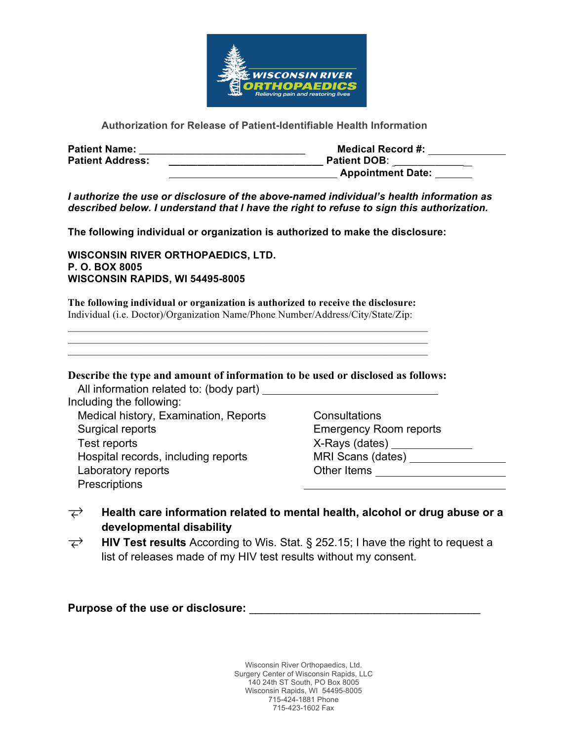

# **Authorization for Release of Patient-Identifiable Health Information**

| <b>Patient Name:</b>    | <b>Medical Record #:</b> |
|-------------------------|--------------------------|
| <b>Patient Address:</b> | <b>Patient DOB:</b>      |
|                         | <b>Appointment Date:</b> |

*I authorize the use or disclosure of the above-named individual's health information as described below. I understand that I have the right to refuse to sign this authorization.*

**The following individual or organization is authorized to make the disclosure:**

**WISCONSIN RIVER ORTHOPAEDICS, LTD. P. O. BOX 8005 WISCONSIN RAPIDS, WI 54495-8005**

**The following individual or organization is authorized to receive the disclosure:** Individual (i.e. Doctor)/Organization Name/Phone Number/Address/City/State/Zip:

 $\mathcal{L}_\text{max} = \mathcal{L}_\text{max} = \mathcal{L}_\text{max} = \mathcal{L}_\text{max} = \mathcal{L}_\text{max} = \mathcal{L}_\text{max} = \mathcal{L}_\text{max} = \mathcal{L}_\text{max} = \mathcal{L}_\text{max} = \mathcal{L}_\text{max} = \mathcal{L}_\text{max} = \mathcal{L}_\text{max} = \mathcal{L}_\text{max} = \mathcal{L}_\text{max} = \mathcal{L}_\text{max} = \mathcal{L}_\text{max} = \mathcal{L}_\text{max} = \mathcal{L}_\text{max} = \mathcal{$ 

**Describe the type and amount of information to be used or disclosed as follows:**

 All information related to: (body part) Including the following: Medical history, Examination, Reports Surgical reports Test reports Hospital records, including reports Laboratory reports **Prescriptions** 

**Consultations**  Emergency Room reports X-Rays (dates) MRI Scans (dates) Other Items

- **Health care information related to mental health, alcohol or drug abuse or a developmental disability**
- **HIV Test results** According to Wis. Stat. § 252.15; I have the right to request a list of releases made of my HIV test results without my consent.

**Purpose of the use or disclosure: with a set of the use of disclosure:** 

Wisconsin River Orthopaedics, Ltd. Surgery Center of Wisconsin Rapids, LLC 140 24th ST South, PO Box 8005 Wisconsin Rapids, WI 54495-8005 715-424-1881 Phone 715-423-1602 Fax